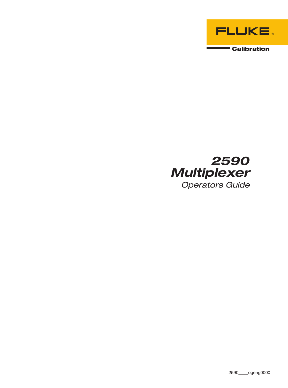

# 2590 **Multiplexer Operators Guide**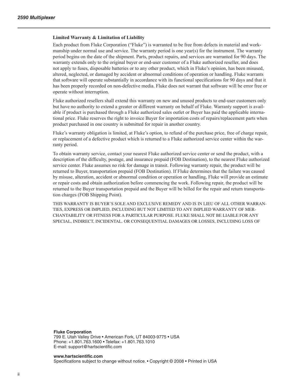#### **Limited Warranty & Limitation of Liability**

Each product from Fluke Corporation ("Fluke") is warranted to be free from defects in material and workmanship under normal use and service. The warranty period is one year(s) for the instrument. The warranty period begins on the date of the shipment. Parts, product repairs, and services are warranted for 90 days. The warranty extends only to the original buyer or end-user customer of a Fluke authorized reseller, and does not apply to fuses, disposable batteries or to any other product, which in Fluke's opinion, has been misused, altered, neglected, or damaged by accident or abnormal conditions of operation or handling. Fluke warrants that software will operate substantially in accordance with its functional specifications for 90 days and that it has been properly recorded on non-defective media. Fluke does not warrant that software will be error free or operate without interruption.

Fluke authorized resellers shall extend this warranty on new and unused products to end-user customers only but have no authority to extend a greater or different warranty on behalf of Fluke. Warranty support is available if product is purchased through a Fluke authorized sales outlet or Buyer has paid the applicable international price. Fluke reserves the right to invoice Buyer for importation costs of repairs/replacement parts when product purchased in one country is submitted for repair in another country.

Fluke's warranty obligation is limited, at Fluke's option, to refund of the purchase price, free of charge repair, or replacement of a defective product which is returned to a Fluke authorized service center within the warranty period.

To obtain warranty service, contact your nearest Fluke authorized service center or send the product, with a description of the difficulty, postage, and insurance prepaid (FOB Destination), to the nearest Fluke authorized service center. Fluke assumes no risk for damage in transit. Following warranty repair, the product will be returned to Buyer, transportation prepaid (FOB Destination). If Fluke determines that the failure was caused by misuse, alteration, accident or abnormal condition or operation or handling, Fluke will provide an estimate or repair costs and obtain authorization before commencing the work. Following repair, the product will be returned to the Buyer transportation prepaid and the Buyer will be billed for the repair and return transportation charges (FOB Shipping Point).

THIS WARRANTY IS BUYER'S SOLE AND EXCLUSIVE REMEDY AND IS IN LIEU OF ALL OTHER WARRAN-TIES, EXPRESS OR IMPLIED, INCLUDING BUT NOT LIMITED TO ANY IMPLIED WARRANTY OF MER-CHANTABILITY OR FITNESS FOR A PARTICULAR PURPOSE. FLUKE SHALL NOT BE LIABLE FOR ANY SPECIAL, INDIRECT, INCIDENTAL. OR CONSEQUENTIAL DAMAGES OR LOSSES, INCLUDING LOSS OF

**Fluke Corporation** 799 E. Utah Valley Drive • American Fork, UT 84003-9775 • USA Phone: +1.801.763.1600 • Telefax: +1.801.763.1010 E-mail: support@hartscientific.com

**www.hartscientific.com** Specifications subject to change without notice. • Copyright © 2008 • Printed in USA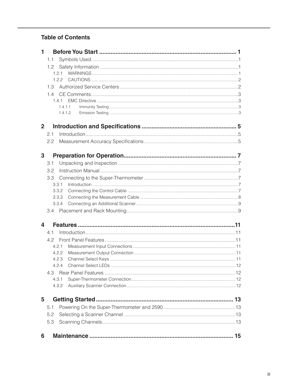# **Table of Contents**

| 1              |         |  |
|----------------|---------|--|
|                | 1.1     |  |
|                | 1.2     |  |
|                | 1.2.1   |  |
|                | 1.2.2   |  |
|                | 1.3     |  |
|                | 1.4     |  |
|                | 1.4.1   |  |
|                | 1.4.1.1 |  |
|                | 1.4.1.2 |  |
| $\overline{2}$ |         |  |
|                | 2.1     |  |
|                | 2.2     |  |
|                |         |  |
| 3              |         |  |
|                | 3.1     |  |
|                | 3.2     |  |
|                | 3.3     |  |
|                | 3.3.1   |  |
|                | 3.3.2   |  |
|                | 3.3.3   |  |
|                | 3.3.4   |  |
|                |         |  |
| 4              |         |  |
|                | 4.1     |  |
|                | 4.2     |  |
|                | 4.2.1   |  |
|                | 4.2.2   |  |
|                | 4.2.3   |  |
|                | 4.2.4   |  |
|                | 4.3     |  |
|                | 4.3.1   |  |
|                | 4.3.2   |  |
| 5              |         |  |
|                | 5.1     |  |
|                | 5.2     |  |
|                | 5.3     |  |
|                |         |  |
| 6              |         |  |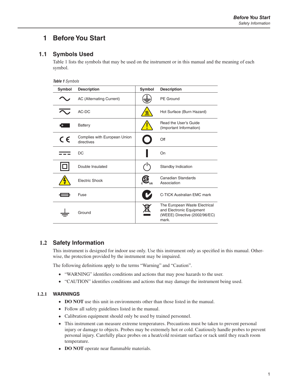# <span id="page-4-0"></span>**1 Before You Start**

## **1.1 Symbols Used**

[Table 1](#page-4-1) lists the symbols that may be used on the instrument or in this manual and the meaning of each symbol.

<span id="page-4-1"></span>

| Table 1 Symbols |                                            |        |                                                                                                     |  |
|-----------------|--------------------------------------------|--------|-----------------------------------------------------------------------------------------------------|--|
| Symbol          | <b>Description</b>                         | Symbol | <b>Description</b>                                                                                  |  |
|                 | AC (Alternating Current)                   |        | <b>PE</b> Ground                                                                                    |  |
|                 | AC-DC                                      |        | Hot Surface (Burn Hazard)                                                                           |  |
|                 | <b>Battery</b>                             |        | Read the User's Guide<br>(Important Information)                                                    |  |
| $\epsilon$      | Complies with European Union<br>directives |        | Off                                                                                                 |  |
|                 | DC                                         |        | On                                                                                                  |  |
|                 | Double Insulated                           |        | Standby Indication                                                                                  |  |
|                 | <b>Electric Shock</b>                      |        | Canadian Standards<br>Association                                                                   |  |
|                 | Fuse                                       |        | C-TICK Australian EMC mark                                                                          |  |
|                 | Ground                                     |        | The European Waste Electrical<br>and Electronic Equipment<br>(WEEE) Directive (2002/96/EC)<br>mark. |  |

### **1.2 Safety Information**

This instrument is designed for indoor use only. Use this instrument only as specified in this manual. Otherwise, the protection provided by the instrument may be impaired.

The following definitions apply to the terms "Warning" and "Caution".

- "WARNING" identifies conditions and actions that may pose hazards to the user.
- "CAUTION" identifies conditions and actions that may damage the instrument being used.

#### **1.2.1 WARNINGS**

- **DO NOT** use this unit in environments other than those listed in the manual.
- Follow all safety guidelines listed in the manual.
- Calibration equipment should only be used by trained personnel.
- This instrument can measure extreme temperatures. Precautions must be taken to prevent personal injury or damage to objects. Probes may be extremely hot or cold. Cautiously handle probes to prevent personal injury. Carefully place probes on a heat/cold resistant surface or rack until they reach room temperature.
- **DO NOT** operate near flammable materials.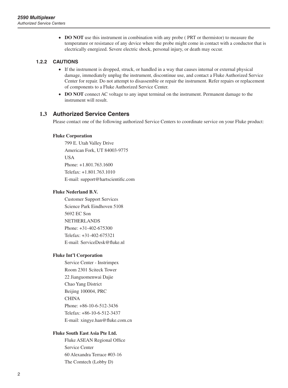<span id="page-5-0"></span>• **DO NOT** use this instrument in combination with any probe (PRT or thermistor) to measure the temperature or resistance of any device where the probe might come in contact with a conductor that is electrically energized. Severe electric shock, personal injury, or death may occur.

#### **1.2.2 CAUTIONS**

- If the instrument is dropped, struck, or handled in a way that causes internal or external physical damage, immediately unplug the instrument, discontinue use, and contact a Fluke Authorized Service Center for repair. Do not attempt to disassemble or repair the instrument. Refer repairs or replacement of components to a Fluke Authorized Service Center.
- **DO NOT** connect AC voltage to any input terminal on the instrument. Permanent damage to the instrument will result.

#### **1.3 Authorized Service Centers**

Please contact one of the following authorized Service Centers to coordinate service on your Fluke product:

#### **Fluke Corporation**

799 E. Utah Valley Drive American Fork, UT 84003-9775 USA Phone: +1.801.763.1600 Telefax: +1.801.763.1010 E-mail: support@hartscientific.com

#### **Fluke Nederland B.V.**

Customer Support Services Science Park Eindhoven 5108 5692 EC Son NETHERLANDS Phone: +31-402-675300 Telefax: +31-402-675321 E-mail: ServiceDesk@fluke.nl

#### **Fluke Int'l Corporation**

Service Center - Instrimpex Room 2301 Sciteck Tower 22 Jianguomenwai Dajie Chao Yang District Beijing 100004, PRC **CHINA** Phone: +86-10-6-512-3436 Telefax: +86-10-6-512-3437 E-mail: xingye.han@fluke.com.cn

#### **Fluke South East Asia Pte Ltd.**

Fluke ASEAN Regional Office Service Center 60 Alexandra Terrace #03-16 The Comtech (Lobby D)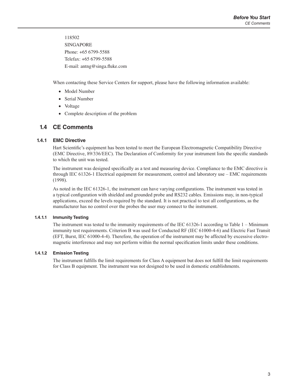<span id="page-6-0"></span>118502 SINGAPORE Phone: +65 6799-5588 Telefax: +65 6799-5588 E-mail: antng@singa.fluke.com

When contacting these Service Centers for support, please have the following information available:

- Model Number
- Serial Number
- Voltage
- Complete description of the problem

### **1.4 CE Comments**

#### **1.4.1 EMC Directive**

Hart Scientific's equipment has been tested to meet the European Electromagnetic Compatibility Directive (EMC Directive, 89/336/EEC). The Declaration of Conformity for your instrument lists the specific standards to which the unit was tested.

The instrument was designed specifically as a test and measuring device. Compliance to the EMC directive is through IEC 61326-1 Electrical equipment for measurement, control and laboratory use – EMC requirements (1998).

As noted in the IEC 61326-1, the instrument can have varying configurations. The instrument was tested in a typical configuration with shielded and grounded probe and RS232 cables. Emissions may, in non-typical applications, exceed the levels required by the standard. It is not practical to test all configurations, as the manufacturer has no control over the probes the user may connect to the instrument.

#### **1.4.1.1 Immunity Testing**

The instrument was tested to the immunity requirements of the IEC 61326-1 according to Table 1 – Minimum immunity test requirements. Criterion B was used for Conducted RF (IEC 61000-4-6) and Electric Fast Transit (EFT, Burst, IEC 61000-4-4). Therefore, the operation of the instrument may be affected by excessive electromagnetic interference and may not perform within the normal specification limits under these conditions.

#### **1.4.1.2 Emission Testing**

The instrument fulfills the limit requirements for Class A equipment but does not fulfill the limit requirements for Class B equipment. The instrument was not designed to be used in domestic establishments.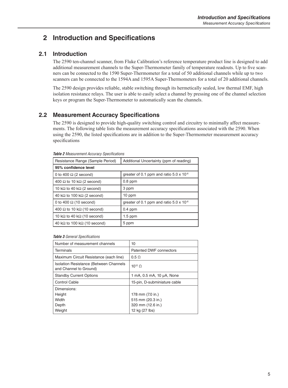# <span id="page-8-0"></span>**2 Introduction and Specifications**

# **2.1 Introduction**

The 2590 ten-channel scanner, from Fluke Calibration's reference temperature product line is designed to add additional measurement channels to the Super-Thermometer family of temperature readouts. Up to five scanners can be connected to the 1590 Super-Thermometer for a total of 50 additional channels while up to two scanners can be connected to the 1594A and 1595A Super-Thermometers for a total of 20 additional channels.

The 2590 design provides reliable, stable switching through its hermetically sealed, low thermal EMF, high isolation resistance relays. The user is able to easily select a channel by pressing one of the channel selection keys or program the Super-Thermometer to automatically scan the channels.

# **2.2 Measurement Accuracy Specifications**

The 2590 is designed to provide high-quality switching control and circuitry to minimally affect measurements. The following table lists the measurement accuracy specifications associated with the 2590. When using the 2590, the listed specifications are in addition to the Super-Thermometer measurement accuracy specifications

| Additional Uncertainty (ppm of reading)           |  |
|---------------------------------------------------|--|
|                                                   |  |
| greater of 0.1 ppm and ratio $5.0 \times 10^{-8}$ |  |
| $0.8$ ppm                                         |  |
| 3 ppm                                             |  |
| 10 ppm                                            |  |
| greater of 0.1 ppm and ratio $5.0 \times 10^{-8}$ |  |
| $0.4$ ppm                                         |  |
| $1.5$ ppm                                         |  |
| 5 ppm                                             |  |
|                                                   |  |

*Table 2 Measurement Accuracy Specifications*

*Table 3 General Specifications*

| Number of measurement channels                                          | 10                           |  |
|-------------------------------------------------------------------------|------------------------------|--|
| <b>Terminals</b>                                                        | Patented DWF connectors      |  |
| Maximum Circuit Resistance (each line)                                  | $0.5 \Omega$                 |  |
| <b>Isolation Resistance (Between Channels</b><br>and Channel to Ground) | $10^{12}$ O                  |  |
| <b>Standby Current Options</b>                                          | 1 mA, 0.5 mA, 10 µA, None    |  |
| Control Cable                                                           | 15-pin, D-subminiature cable |  |
| Dimensions:                                                             |                              |  |
| Height                                                                  | 178 mm (7.0 in.)             |  |
| Width                                                                   | 515 mm (20.3 in.)            |  |
| Depth                                                                   | 320 mm (12.6 in.)            |  |
| Weight                                                                  | 12 kg (27 lbs)               |  |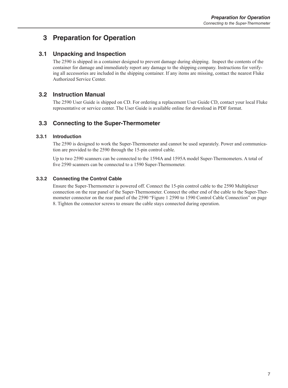# <span id="page-10-0"></span>**3 Preparation for Operation**

# **3.1 Unpacking and Inspection**

The 2590 is shipped in a container designed to prevent damage during shipping. Inspect the contents of the container for damage and immediately report any damage to the shipping company. Instructions for verifying all accessories are included in the shipping container. If any items are missing, contact the nearest Fluke Authorized Service Center.

### **3.2 Instruction Manual**

The 2590 User Guide is shipped on CD. For ordering a replacement User Guide CD, contact your local Fluke representative or service center. The User Guide is available online for download in PDF format.

# **3.3 Connecting to the Super-Thermometer**

#### **3.3.1 Introduction**

The 2590 is designed to work the Super-Thermometer and cannot be used separately. Power and communication are provided to the 2590 through the 15-pin control cable.

Up to two 2590 scanners can be connected to the 1594A and 1595A model Super-Thermometers. A total of five 2590 scanners can be connected to a 1590 Super-Thermometer.

#### **3.3.2 Connecting the Control Cable**

Ensure the Super-Thermometer is powered off. Connect the 15-pin control cable to the 2590 Multiplexer connection on the rear panel of the Super-Thermometer. Connect the other end of the cable to the Super-Thermometer connector on the rear panel of the 2590 ["Figure 1 2590 to 1590 Control Cable Connection" on page](#page-11-1)  [8](#page-11-1). Tighten the connector screws to ensure the cable stays connected during operation.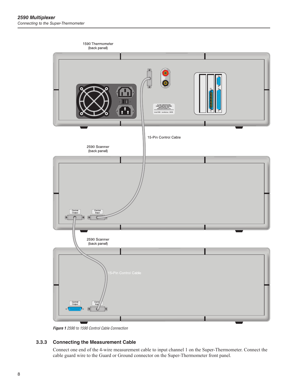<span id="page-11-0"></span>

<span id="page-11-1"></span>*Figure 1 2590 to 1590 Control Cable Connection*

#### **3.3.3 Connecting the Measurement Cable**

Connect one end of the 4-wire measurement cable to input channel 1 on the Super-Thermometer. Connect the cable guard wire to the Guard or Ground connector on the Super-Thermometer front panel.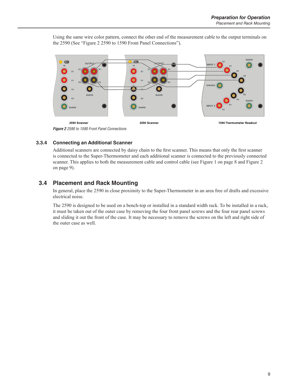<span id="page-12-0"></span>Using the same wire color pattern, connect the other end of the measurement cable to the output terminals on the 2590 (See ["Figure 2 2590 to 1590 Front Panel Connections"\)](#page-12-1).



#### **3.3.4 Connecting an Additional Scanner**

<span id="page-12-1"></span>Additional scanners are connected by daisy chain to the first scanner. This means that only the first scanner is connected to the Super-Thermometer and each additional scanner is connected to the previously connected scanner. This applies to both the measurement cable and control cable (see [Figure 1 on page 8](#page-11-1) and [Figure 2](#page-12-1)  [on page 9\)](#page-12-1).

# **3.4 Placement and Rack Mounting**

In general, place the 2590 in close proximity to the Super-Thermometer in an area free of drafts and excessive electrical noise.

The 2590 is designed to be used on a bench-top or installed in a standard width rack. To be installed in a rack, it must be taken out of the outer case by removing the four front panel screws and the four rear panel screws and sliding it out the front of the case. It may be necessary to remove the screws on the left and right side of the outer case as well.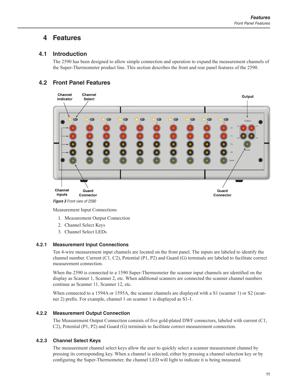# <span id="page-14-0"></span>**4 Features**

### **4.1 Introduction**

The 2590 has been designed to allow simple connection and operation to expand the measurement channels of the Super-Thermometer product line. This section describes the front and rear panel features of the 2590.

# **4.2 Front Panel Features**



Measurement Input Connections

- 1. Measurement Output Connection
- 2. Channel Select Keys
- 3. Channel Select LEDs

#### **4.2.1 Measurement Input Connections**

Ten 4-wire measurement input channels are located on the front panel. The inputs are labeled to identify the channel number. Current (C1, C2), Potential (P1, P2) and Guard (G) terminals are labeled to facilitate correct measurement connection.

When the 2590 is connected to a 1590 Super-Thermometer the scanner input channels are identified on the display as Scanner 1, Scanner 2, etc. When additional scanners are connected the scanner channel numbers continue as Scanner 11, Scanner 12, etc.

When connected to a 1594A or 1595A, the scanner channels are displayed with a S1 (scanner 1) or S2 (scanner 2) prefix. For example, channel 1 on scanner 1 is displayed as S1-1.

#### **4.2.2 Measurement Output Connection**

The Measurement Output Connection consists of five gold-plated DWF connectors, labeled with current (C1, C2), Potential (P1, P2) and Guard (G) terminals to facilitate correct measurement connection.

#### **4.2.3 Channel Select Keys**

The measurement channel select keys allow the user to quickly select a scanner measurement channel by pressing its corresponding key. When a channel is selected, either by pressing a channel selection key or by configuring the Super-Thermometer, the channel LED will light to indicate it is being measured.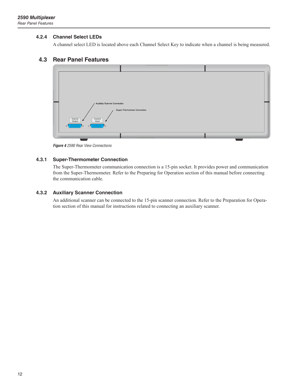#### <span id="page-15-0"></span>**4.2.4 Channel Select LEDs**

A channel select LED is located above each Channel Select Key to indicate when a channel is being measured.

#### **4.3 Rear Panel Features**



*Figure 4 2590 Rear View Connections*

#### **4.3.1 Super-Thermometer Connection**

The Super-Thermometer communication connection is a 15-pin socket. It provides power and communication from the Super-Thermometer. Refer to the Preparing for Operation section of this manual before connecting the communication cable.

#### **4.3.2 Auxiliary Scanner Connection**

An additional scanner can be connected to the 15-pin scanner connection. Refer to the Preparation for Operation section of this manual for instructions related to connecting an auxiliary scanner.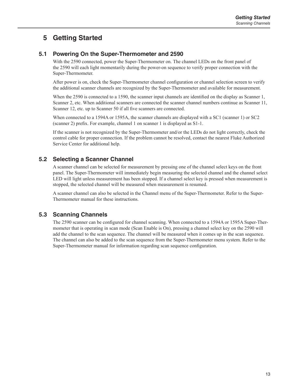# <span id="page-16-0"></span>**5 Getting Started**

## **5.1 Powering On the Super-Thermometer and 2590**

With the 2590 connected, power the Super-Thermometer on. The channel LEDs on the front panel of the 2590 will each light momentarily during the power-on sequence to verify proper connection with the Super-Thermometer.

After power is on, check the Super-Thermometer channel configuration or channel selection screen to verify the additional scanner channels are recognized by the Super-Thermometer and available for measurement.

When the 2590 is connected to a 1590, the scanner input channels are identified on the display as Scanner 1, Scanner 2, etc. When additional scanners are connected the scanner channel numbers continue as Scanner 11, Scanner 12, etc. up to Scanner 50 if all five scanners are connected.

When connected to a 1594A or 1595A, the scanner channels are displayed with a SC1 (scanner 1) or SC2 (scanner 2) prefix. For example, channel 1 on scanner 1 is displayed as S1-1.

If the scanner is not recognized by the Super-Thermometer and/or the LEDs do not light correctly, check the control cable for proper connection. If the problem cannot be resolved, contact the nearest Fluke Authorized Service Center for additional help.

# **5.2 Selecting a Scanner Channel**

A scanner channel can be selected for measurement by pressing one of the channel select keys on the front panel. The Super-Thermometer will immediately begin measuring the selected channel and the channel select LED will light unless measurement has been stopped. If a channel select key is pressed when measurement is stopped, the selected channel will be measured when measurement is resumed.

A scanner channel can also be selected in the Channel menu of the Super-Thermometer. Refer to the Super-Thermometer manual for these instructions.

### **5.3 Scanning Channels**

The 2590 scanner can be configured for channel scanning. When connected to a 1594A or 1595A Super-Thermometer that is operating in scan mode (Scan Enable is On), pressing a channel select key on the 2590 will add the channel to the scan sequence. The channel will be measured when it comes up in the scan sequence. The channel can also be added to the scan sequence from the Super-Thermometer menu system. Refer to the Super-Thermometer manual for information regarding scan sequence configuration.